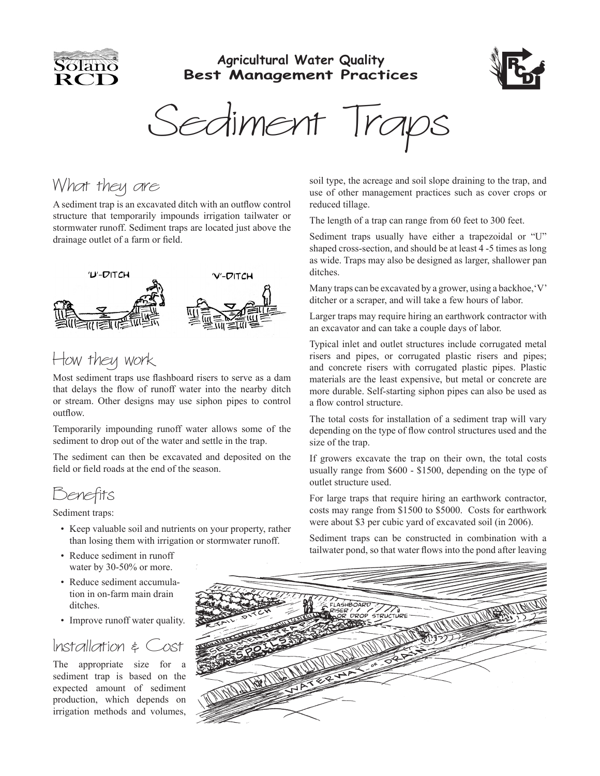

#### **Agricultural Water Quality Best Management Practices**



Sediment Trap

## What they are

A sediment trap is an excavated ditch with an outflow control structure that temporarily impounds irrigation tailwater or stormwater runoff. Sediment traps are located just above the drainage outlet of a farm or field.



# How they work

Most sediment traps use flashboard risers to serve as a dam that delays the flow of runoff water into the nearby ditch or stream. Other designs may use siphon pipes to control outflow.

Temporarily impounding runoff water allows some of the sediment to drop out of the water and settle in the trap.

The sediment can then be excavated and deposited on the field or field roads at the end of the season.

Benefits

Sediment traps:

- Keep valuable soil and nutrients on your property, rather than losing them with irrigation or stormwater runoff.
- Reduce sediment in runoff water by 30-50% or more.
- Reduce sediment accumulation in on-farm main drain ditches.
- Improve runoff water quality.

### $Installation \geq 0$

The appropriate size for a sediment trap is based on the expected amount of sediment production, which depends on irrigation methods and volumes,

soil type, the acreage and soil slope draining to the trap, and use of other management practices such as cover crops or reduced tillage.

The length of a trap can range from 60 feet to 300 feet.

Sediment traps usually have either a trapezoidal or "U" shaped cross-section, and should be at least 4 -5 times as long as wide. Traps may also be designed as larger, shallower pan ditches.

Many traps can be excavated by a grower, using a backhoe,'V' ditcher or a scraper, and will take a few hours of labor.

Larger traps may require hiring an earthwork contractor with an excavator and can take a couple days of labor.

Typical inlet and outlet structures include corrugated metal risers and pipes, or corrugated plastic risers and pipes; and concrete risers with corrugated plastic pipes. Plastic materials are the least expensive, but metal or concrete are more durable. Self-starting siphon pipes can also be used as a flow control structure.

The total costs for installation of a sediment trap will vary depending on the type of flow control structures used and the size of the trap.

If growers excavate the trap on their own, the total costs usually range from \$600 - \$1500, depending on the type of outlet structure used.

For large traps that require hiring an earthwork contractor, costs may range from \$1500 to \$5000. Costs for earthwork were about \$3 per cubic yard of excavated soil (in 2006).

Sediment traps can be constructed in combination with a tailwater pond, so that water flows into the pond after leaving